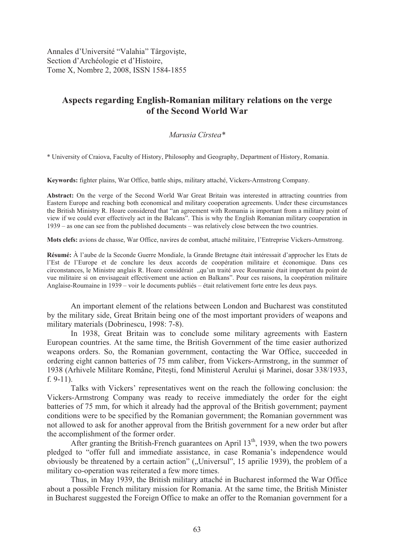Annales d'Université "Valahia" Târgoviște, Section d'Archéologie et d'Histoire, Tome X, Nombre 2, 2008, ISSN 1584-1855

# **Aspects regarding English-Romanian military relations on the verge of the Second World War**

# *Marusia Cîrstea\**

\* University of Craiova, Faculty of History, Philosophy and Geography, Department of History, Romania.

**Keywords:** fighter plains, War Office, battle ships, military attaché, Vickers-Armstrong Company.

**Abstract:** On the verge of the Second World War Great Britain was interested in attracting countries from Eastern Europe and reaching both economical and military cooperation agreements. Under these circumstances the British Ministry R. Hoare considered that "an agreement with Romania is important from a military point of view if we could ever effectively act in the Balcans". This is why the English Romanian military cooperation in 1939 – as one can see from the published documents – was relatively close between the two countries.

**Mots clefs:** avions de chasse, War Office, navires de combat, attaché militaire, l'Entreprise Vickers-Armstrong.

**Résumé:** À l'aube de la Seconde Guerre Mondiale, la Grande Bretagne était intéressait d'approcher les Etats de l'Est de l'Europe et de conclure les deux accords de coopération militaire et économique. Dans ces circonstances, le Ministre anglais R. Hoare considérait "qu'un traité avec Roumanie était important du point de vue militaire si on envisageait effectivement une action en Balkans". Pour ces raisons, la coopération militaire Anglaise-Roumaine in 1939 – voir le documents publiés – était relativement forte entre les deux pays.

An important element of the relations between London and Bucharest was constituted by the military side, Great Britain being one of the most important providers of weapons and military materials (Dobrinescu, 1998: 7-8).

In 1938, Great Britain was to conclude some military agreements with Eastern European countries. At the same time, the British Government of the time easier authorized weapons orders. So, the Romanian government, contacting the War Office, succeeded in ordering eight cannon batteries of 75 mm caliber, from Vickers-Armstrong, in the summer of 1938 (Arhivele Militare Române, Pitești, fond Ministerul Aerului și Marinei, dosar 338/1933, f. 9-11).

Talks with Vickers' representatives went on the reach the following conclusion: the Vickers-Armstrong Company was ready to receive immediately the order for the eight batteries of 75 mm, for which it already had the approval of the British government; payment conditions were to be specified by the Romanian government; the Romanian government was not allowed to ask for another approval from the British government for a new order but after the accomplishment of the former order.

After granting the British-French guarantees on April  $13<sup>th</sup>$ , 1939, when the two powers pledged to "offer full and immediate assistance, in case Romania's independence would obviously be threatened by a certain action" ("Universul", 15 aprilie 1939), the problem of a military co-operation was reiterated a few more times.

Thus, in May 1939, the British military attaché in Bucharest informed the War Office about a possible French military mission for Romania. At the same time, the British Minister in Bucharest suggested the Foreign Office to make an offer to the Romanian government for a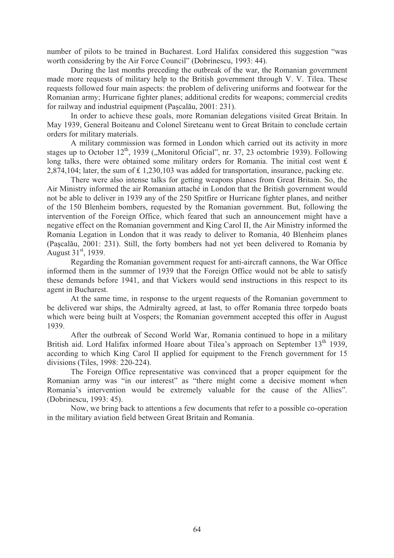number of pilots to be trained in Bucharest. Lord Halifax considered this suggestion "was worth considering by the Air Force Council" (Dobrinescu, 1993: 44).

During the last months preceding the outbreak of the war, the Romanian government made more requests of military help to the British government through V. V. Tilea. These requests followed four main aspects: the problem of delivering uniforms and footwear for the Romanian army; Hurricane fighter planes; additional credits for weapons; commercial credits for railway and industrial equipment (Pascalău, 2001: 231).

In order to achieve these goals, more Romanian delegations visited Great Britain. In May 1939, General Boiteanu and Colonel Sireteanu went to Great Britain to conclude certain orders for military materials.

A military commission was formed in London which carried out its activity in more stages up to October  $12<sup>th</sup>$ , 1939 ("Monitorul Oficial", nr. 37, 23 octombrie 1939). Following long talks, there were obtained some military orders for Romania. The initial cost went  $\hat{\mathbf{f}}$ 2,874,104; later, the sum of  $\pounds$  1,230,103 was added for transportation, insurance, packing etc.

There were also intense talks for getting weapons planes from Great Britain. So, the Air Ministry informed the air Romanian attaché in London that the British government would not be able to deliver in 1939 any of the 250 Spitfire or Hurricane fighter planes, and neither of the 150 Blenheim bombers, requested by the Romanian government. But, following the intervention of the Foreign Office, which feared that such an announcement might have a negative effect on the Romanian government and King Carol II, the Air Ministry informed the Romania Legation in London that it was ready to deliver to Romania, 40 Blenheim planes (Pascalău, 2001: 231). Still, the forty bombers had not yet been delivered to Romania by August 31<sup>st</sup>, 1939.

Regarding the Romanian government request for anti-aircraft cannons, the War Office informed them in the summer of 1939 that the Foreign Office would not be able to satisfy these demands before 1941, and that Vickers would send instructions in this respect to its agent in Bucharest.

At the same time, in response to the urgent requests of the Romanian government to be delivered war ships, the Admiralty agreed, at last, to offer Romania three torpedo boats which were being built at Vospers; the Romanian government accepted this offer in August 1939.

After the outbreak of Second World War, Romania continued to hope in a military British aid. Lord Halifax informed Hoare about Tilea's approach on September 13<sup>th</sup> 1939, according to which King Carol II applied for equipment to the French government for 15 divisions (Tiles, 1998: 220-224).

The Foreign Office representative was convinced that a proper equipment for the Romanian army was "in our interest" as "there might come a decisive moment when Romania's intervention would be extremely valuable for the cause of the Allies". (Dobrinescu, 1993: 45).

Now, we bring back to attentions a few documents that refer to a possible co-operation in the military aviation field between Great Britain and Romania.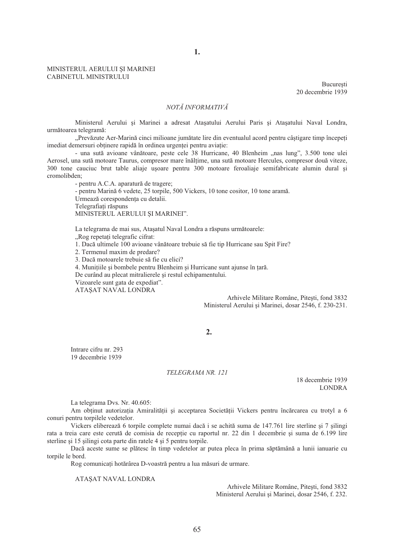#### MINISTERUL AERULUI ȘI MARINEI CABINETUL MINISTRULUI

**Bucuresti** 20 decembrie 1939

## $NOT$ Å *INFORMATIV*<sup>Å</sup>

**1.** 

Ministerul Aerului si Marinei a adresat Atasatului Aerului Paris si Atasatului Naval Londra, următoarea telegramă:

"Prevăzute Aer-Marină cinci milioane jumătate lire din eventualul acord pentru câștigare timp începeți imediat demersuri obtinere rapidă în ordinea urgentei pentru aviatie:

- una sută avioane vânătoare, peste cele 38 Hurricane, 40 Blenheim "nas lung", 3.500 tone ulei Aerosel, una sută motoare Taurus, compresor mare înălțime, una sută motoare Hercules, compresor două viteze, 300 tone cauciuc brut table aliaje u soare pentru 300 motoare feroaliaje semifabricate alumin dural și cromolibden;

- pentru A.C.A. aparatură de tragere;

- pentru Marină 6 vedete, 25 torpile, 500 Vickers, 10 tone cositor, 10 tone aramă. Urmează corespondența cu detalii. Telegrafiați răspuns

MINISTERUL AERULUI ȘI MARINEI".

La telegrama de mai sus, Atașatul Naval Londra a răspuns următoarele: "Rog repetati telegrafic cifrat:

1. Dacă ultimele 100 avioane vânătoare trebuie să fie tip Hurricane sau Spit Fire?

2. Termenul maxim de predare?

3. Dacă motoarele trebuie să fie cu elici?

4. Munițiile și bombele pentru Blenheim și Hurricane sunt ajunse în țară.

De curând au plecat mitralierele și restul echipamentului.

Vizoarele sunt gata de expediat".

ATASAT NAVAL LONDRA

Arhivele Militare Române, Pitești, fond 3832 Ministerul Aerului și Marinei, dosar 2546, f. 230-231.

## **2.**

Intrare cifru nr. 293 19 decembrie 1939

#### *TELEGRAMA NR. 121*

18 decembrie 1939 LONDRA

La telegrama Dvs. Nr. 40.605:

Am obtinut autorizația Amiralității și acceptarea Societății Vickers pentru încărcarea cu trotyl a 6 conuri pentru torpilele vedetelor.

Vickers eliberează 6 torpile complete numai dacă i se achită suma de 147.761 lire sterline și 7 silingi rata a treia care este cerută de comisia de receptie cu raportul nr. 22 din 1 decembrie și suma de 6.199 lire sterline si 15 silingi cota parte din ratele 4 si 5 pentru torpile.

Dacă aceste sume se plătesc în timp vedetelor ar putea pleca în prima săptămână a lunii ianuarie cu torpile le bord.

Rog comunicați hotărârea D-voastră pentru a lua măsuri de urmare.

ATAŞAT NAVAL LONDRA

Arhivele Militare Române, Pitești, fond 3832 Ministerul Aerului și Marinei, dosar 2546, f. 232.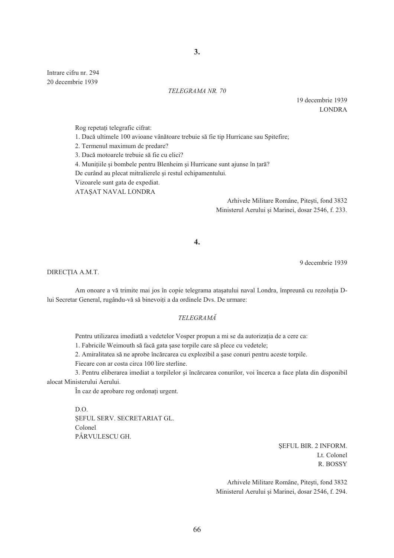**3.** 

Intrare cifru nr. 294 20 decembrie 1939

## *TELEGRAMA NR. 70*

19 decembrie 1939 LONDRA

Rog repetați telegrafic cifrat:

1. Dacă ultimele 100 avioane vânătoare trebuie să fie tip Hurricane sau Spitefire;

2. Termenul maximum de predare?

3. Dacă motoarele trebuie să fie cu elici?

4. Munițiile și bombele pentru Blenheim și Hurricane sunt ajunse în țară?

De curând au plecat mitralierele și restul echipamentului.

Vizoarele sunt gata de expediat.

ATAŞAT NAVAL LONDRA

Arhivele Militare Române, Pitești, fond 3832 Ministerul Aerului si Marinei, dosar 2546, f. 233.

**4.** 

9 decembrie 1939

DIRECȚIA A.M.T.

Am onoare a vă trimite mai jos în copie telegrama atașatului naval Londra, împreună cu rezoluția Dlui Secretar General, rugându-vă să binevoiți a da ordinele Dvs. De urmare:

## *TELEGRAM*

Pentru utilizarea imediată a vedetelor Vosper propun a mi se da autorizația de a cere ca:

1. Fabricile Weimouth să facă gata șase torpile care să plece cu vedetele;

2. Amiralitatea să ne aprobe încărcarea cu explozibil a șase conuri pentru aceste torpile.

Fiecare con ar costa circa 100 lire sterline.

3. Pentru eliberarea imediat a torpilelor și încărcarea conurilor, voi încerca a face plata din disponibil alocat Ministerului Aerului.

În caz de aprobare rog ordonați urgent.

D.O. SEFUL SERV. SECRETARIAT GL. Colonel PÂRVULESCU GH.

> SEFUL BIR. 2 INFORM. Lt. Colonel R. BOSSY

Arhivele Militare Române, Pitești, fond 3832 Ministerul Aerului și Marinei, dosar 2546, f. 294.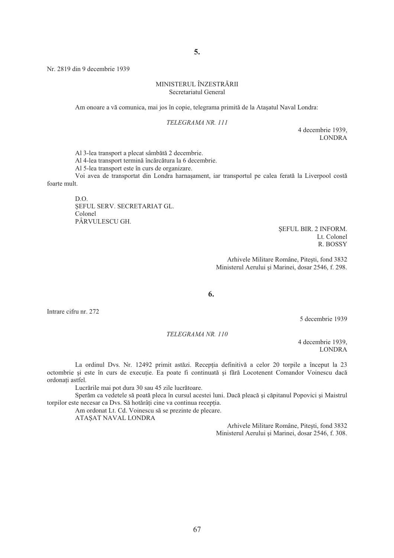**5.** 

Nr. 2819 din 9 decembrie 1939

### MINISTERUL ÎNZESTR&RII Secretariatul General

Am onoare a vă comunica, mai jos în copie, telegrama primită de la Atașatul Naval Londra:

#### *TELEGRAMA NR. 111*

4 decembrie 1939, LONDRA

Al 3-lea transport a plecat sâmbătă 2 decembrie.

Al 4-lea transport termină încărcătura la 6 decembrie.

Al 5-lea transport este în curs de organizare.

Voi avea de transportat din Londra harna sament, iar transportul pe calea ferată la Liverpool costă foarte mult.

D.O. SEFUL SERV. SECRETARIAT GL. Colonel PÂRVULESCU GH.

> SEFUL BIR. 2 INFORM. Lt. Colonel R. BOSSY

Arhivele Militare Române, Pitești, fond 3832 Ministerul Aerului și Marinei, dosar 2546, f. 298.

**6.** 

Intrare cifru nr. 272

5 decembrie 1939

*TELEGRAMA NR. 110* 

4 decembrie 1939, LONDRA

La ordinul Dvs. Nr. 12492 primit astăzi. Recepția definitivă a celor 20 torpile a început la 23 octombrie și este în curs de execuție. Ea poate fi continuată și fără Locotenent Comandor Voinescu dacă ordonati astfel.

Lucrările mai pot dura 30 sau 45 zile lucrătoare.

Sperăm ca vedetele să poată pleca în cursul acestei luni. Dacă pleacă și căpitanul Popovici și Maistrul torpilor este necesar ca Dvs. Să hotărâți cine va continua recepția.

Am ordonat Lt. Cd. Voinescu să se prezinte de plecare.

ATASAT NAVAL LONDRA

Arhivele Militare Române, Pitesti, fond 3832 Ministerul Aerului și Marinei, dosar 2546, f. 308.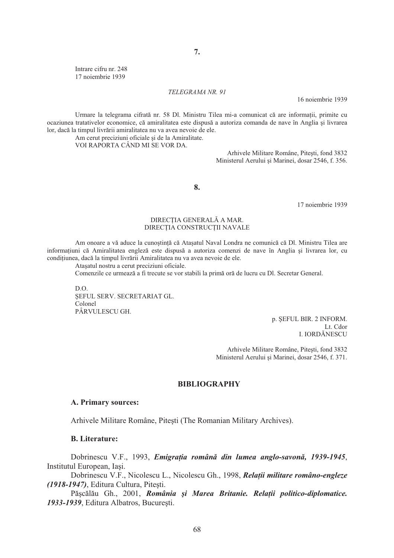Intrare cifru nr. 248 17 noiembrie 1939

## *TELEGRAMA NR. 91*

16 noiembrie 1939

Urmare la telegrama cifrată nr. 58 Dl. Ministru Tilea mi-a comunicat că are informații, primite cu ocaziunea tratativelor economice, că amiralitatea este dispusă a autoriza comanda de nave în Anglia si livrarea lor, dacă la timpul livrării amiralitatea nu va avea nevoie de ele.

Am cerut preciziuni oficiale și de la Amiralitate. VOI RAPORTA CÂND MI SE VOR DA.

> Arhivele Militare Române, Pitesti, fond 3832 Ministerul Aerului și Marinei, dosar 2546, f. 356.

**8.** 

17 noiembrie 1939

## DIRECȚIA GENERALĂ A MAR. DIRECȚIA CONSTRUCȚII NAVALE

Am onoare a vă aduce la cunoștință că Atașatul Naval Londra ne comunică că Dl. Ministru Tilea are informatiuni că Amiralitatea engleză este dispusă a autoriza comenzi de nave în Anglia și livrarea lor, cu conditiunea, dacă la timpul livrării Amiralitatea nu va avea nevoie de ele.

Atasatul nostru a cerut preciziuni oficiale.

Comenzile ce urmează a fi trecute se vor stabili la primă oră de lucru cu Dl. Secretar General.

 $D^{\Omega}$ SEFUL SERV. SECRETARIAT GL. Colonel PÂRVULESCU GH.

> p. ŞEFUL BIR. 2 INFORM. Lt. Cdor I. IORD&NESCU

Arhivele Militare Române, Pitești, fond 3832 Ministerul Aerului și Marinei, dosar 2546, f. 371.

# **BIBLIOGRAPHY**

## **A. Primary sources:**

Arhivele Militare Române, Pitești (The Romanian Military Archives).

## **B. Literature:**

Dobrinescu V.F., 1993, *Emigrația română din lumea anglo-savonă*, 1939-1945, Institutul European, Iași.

Dobrinescu V.F., Nicolescu L., Nicolescu Gh., 1998, *Relatii militare româno-engleze (1918-1947)*, Editura Cultura, Pitesti.

Pășcălău Gh., 2001, *România și Marea Britanie. Relații politico-diplomatice.* 1933-1939, Editura Albatros, București.